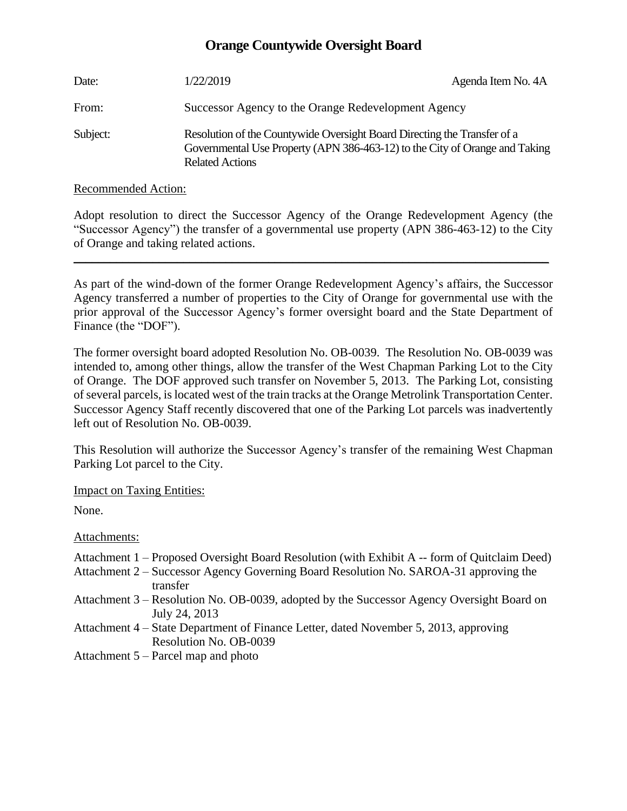## **Orange Countywide Oversight Board**

| Date:    | 1/22/2019                                                                                                                                                                         | Agenda Item No. 4A |
|----------|-----------------------------------------------------------------------------------------------------------------------------------------------------------------------------------|--------------------|
| From:    | Successor Agency to the Orange Redevelopment Agency                                                                                                                               |                    |
| Subject: | Resolution of the Countywide Oversight Board Directing the Transfer of a<br>Governmental Use Property (APN 386-463-12) to the City of Orange and Taking<br><b>Related Actions</b> |                    |

Recommended Action:

Adopt resolution to direct the Successor Agency of the Orange Redevelopment Agency (the "Successor Agency") the transfer of a governmental use property (APN 386-463-12) to the City of Orange and taking related actions.

 $\_$  , and the set of the set of the set of the set of the set of the set of the set of the set of the set of the set of the set of the set of the set of the set of the set of the set of the set of the set of the set of th

As part of the wind-down of the former Orange Redevelopment Agency's affairs, the Successor Agency transferred a number of properties to the City of Orange for governmental use with the prior approval of the Successor Agency's former oversight board and the State Department of Finance (the "DOF").

The former oversight board adopted Resolution No. OB-0039. The Resolution No. OB-0039 was intended to, among other things, allow the transfer of the West Chapman Parking Lot to the City of Orange. The DOF approved such transfer on November 5, 2013. The Parking Lot, consisting of several parcels, is located west of the train tracks at the Orange Metrolink Transportation Center. Successor Agency Staff recently discovered that one of the Parking Lot parcels was inadvertently left out of Resolution No. OB-0039.

This Resolution will authorize the Successor Agency's transfer of the remaining West Chapman Parking Lot parcel to the City.

Impact on Taxing Entities:

None.

Attachments:

- Attachment 1 Proposed Oversight Board Resolution (with Exhibit A -- form of Quitclaim Deed)
- Attachment 2 Successor Agency Governing Board Resolution No. SAROA-31 approving the transfer
- Attachment 3 Resolution No. OB-0039, adopted by the Successor Agency Oversight Board on July 24, 2013
- Attachment 4 State Department of Finance Letter, dated November 5, 2013, approving Resolution No. OB-0039
- Attachment 5 Parcel map and photo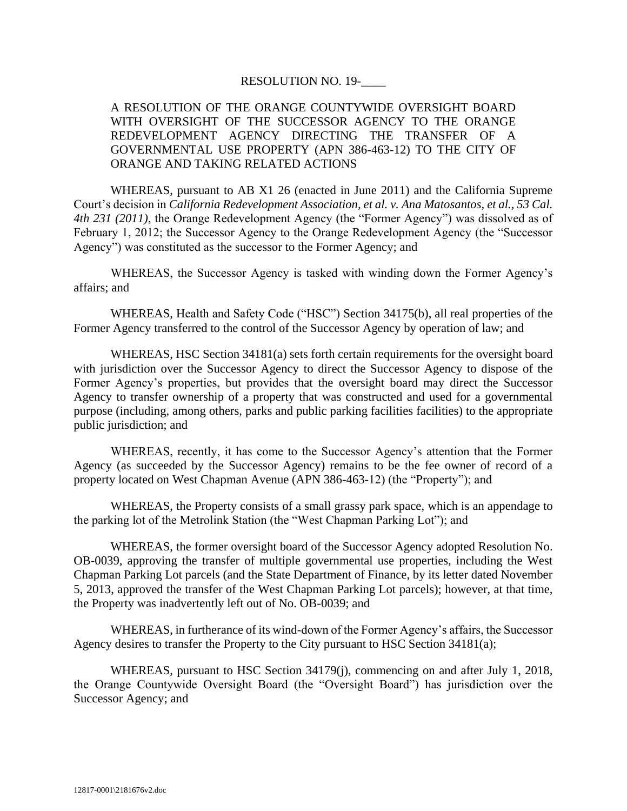#### RESOLUTION NO. 19-\_\_\_\_

### A RESOLUTION OF THE ORANGE COUNTYWIDE OVERSIGHT BOARD WITH OVERSIGHT OF THE SUCCESSOR AGENCY TO THE ORANGE REDEVELOPMENT AGENCY DIRECTING THE TRANSFER OF A GOVERNMENTAL USE PROPERTY (APN 386-463-12) TO THE CITY OF ORANGE AND TAKING RELATED ACTIONS

WHEREAS, pursuant to AB X1 26 (enacted in June 2011) and the California Supreme Court's decision in *California Redevelopment Association, et al. v. Ana Matosantos, et al., 53 Cal. 4th 231 (2011)*, the Orange Redevelopment Agency (the "Former Agency") was dissolved as of February 1, 2012; the Successor Agency to the Orange Redevelopment Agency (the "Successor Agency") was constituted as the successor to the Former Agency; and

WHEREAS, the Successor Agency is tasked with winding down the Former Agency's affairs; and

WHEREAS, Health and Safety Code ("HSC") Section 34175(b), all real properties of the Former Agency transferred to the control of the Successor Agency by operation of law; and

WHEREAS, HSC Section 34181(a) sets forth certain requirements for the oversight board with jurisdiction over the Successor Agency to direct the Successor Agency to dispose of the Former Agency's properties, but provides that the oversight board may direct the Successor Agency to transfer ownership of a property that was constructed and used for a governmental purpose (including, among others, parks and public parking facilities facilities) to the appropriate public jurisdiction; and

WHEREAS, recently, it has come to the Successor Agency's attention that the Former Agency (as succeeded by the Successor Agency) remains to be the fee owner of record of a property located on West Chapman Avenue (APN 386-463-12) (the "Property"); and

WHEREAS, the Property consists of a small grassy park space, which is an appendage to the parking lot of the Metrolink Station (the "West Chapman Parking Lot"); and

WHEREAS, the former oversight board of the Successor Agency adopted Resolution No. OB-0039, approving the transfer of multiple governmental use properties, including the West Chapman Parking Lot parcels (and the State Department of Finance, by its letter dated November 5, 2013, approved the transfer of the West Chapman Parking Lot parcels); however, at that time, the Property was inadvertently left out of No. OB-0039; and

WHEREAS, in furtherance of its wind-down of the Former Agency's affairs, the Successor Agency desires to transfer the Property to the City pursuant to HSC Section 34181(a);

WHEREAS, pursuant to HSC Section 34179(j), commencing on and after July 1, 2018, the Orange Countywide Oversight Board (the "Oversight Board") has jurisdiction over the Successor Agency; and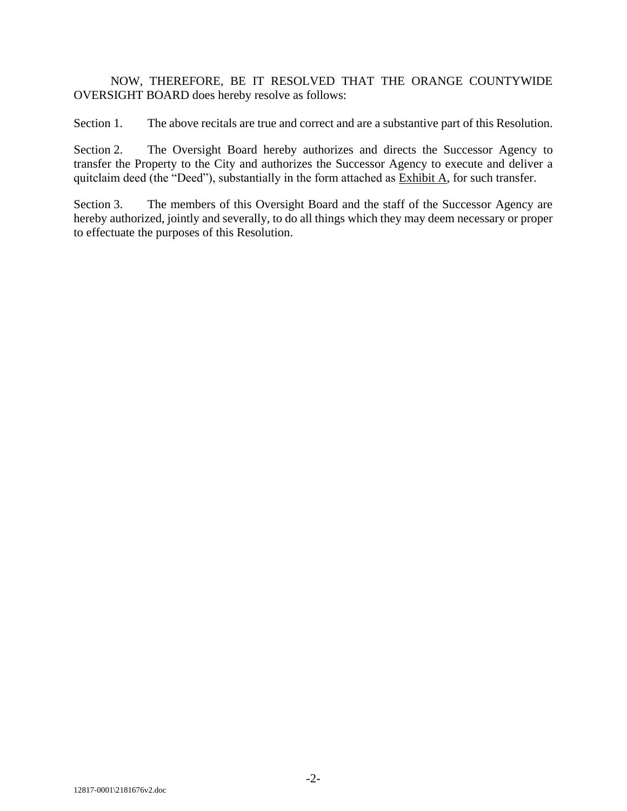NOW, THEREFORE, BE IT RESOLVED THAT THE ORANGE COUNTYWIDE OVERSIGHT BOARD does hereby resolve as follows:

Section 1. The above recitals are true and correct and are a substantive part of this Resolution.

Section 2. The Oversight Board hereby authorizes and directs the Successor Agency to transfer the Property to the City and authorizes the Successor Agency to execute and deliver a quitclaim deed (the "Deed"), substantially in the form attached as Exhibit A, for such transfer.

Section 3. The members of this Oversight Board and the staff of the Successor Agency are hereby authorized, jointly and severally, to do all things which they may deem necessary or proper to effectuate the purposes of this Resolution.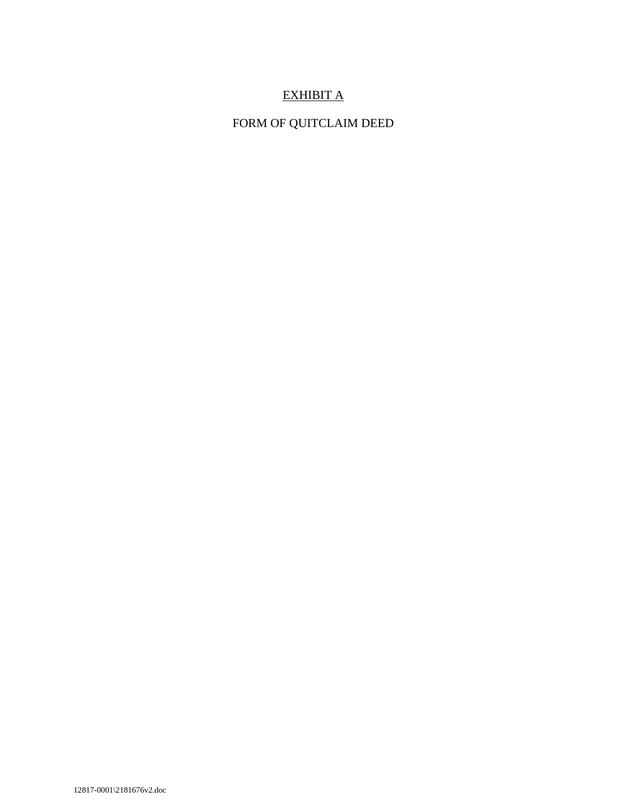## EXHIBIT A

## FORM OF QUITCLAIM DEED

12817-0001\2181676v2.doc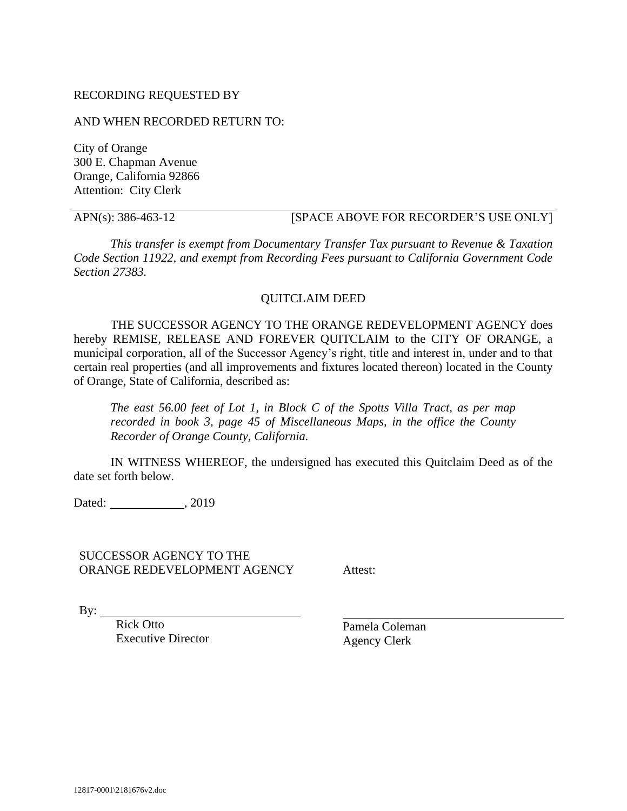#### RECORDING REQUESTED BY

#### AND WHEN RECORDED RETURN TO:

City of Orange 300 E. Chapman Avenue Orange, California 92866 Attention: City Clerk

## APN(s): 386-463-12 [SPACE ABOVE FOR RECORDER'S USE ONLY]

*This transfer is exempt from Documentary Transfer Tax pursuant to Revenue & Taxation Code Section 11922, and exempt from Recording Fees pursuant to California Government Code Section 27383.*

#### QUITCLAIM DEED

THE SUCCESSOR AGENCY TO THE ORANGE REDEVELOPMENT AGENCY does hereby REMISE, RELEASE AND FOREVER QUITCLAIM to the CITY OF ORANGE, a municipal corporation, all of the Successor Agency's right, title and interest in, under and to that certain real properties (and all improvements and fixtures located thereon) located in the County of Orange, State of California, described as:

*The east 56.00 feet of Lot 1, in Block C of the Spotts Villa Tract, as per map recorded in book 3, page 45 of Miscellaneous Maps, in the office the County Recorder of Orange County, California.*

IN WITNESS WHEREOF, the undersigned has executed this Quitclaim Deed as of the date set forth below.

Dated: , 2019

SUCCESSOR AGENCY TO THE ORANGE REDEVELOPMENT AGENCY

Attest:

By:  $\qquad \qquad$ 

Rick Otto Executive Director

Pamela Coleman Agency Clerk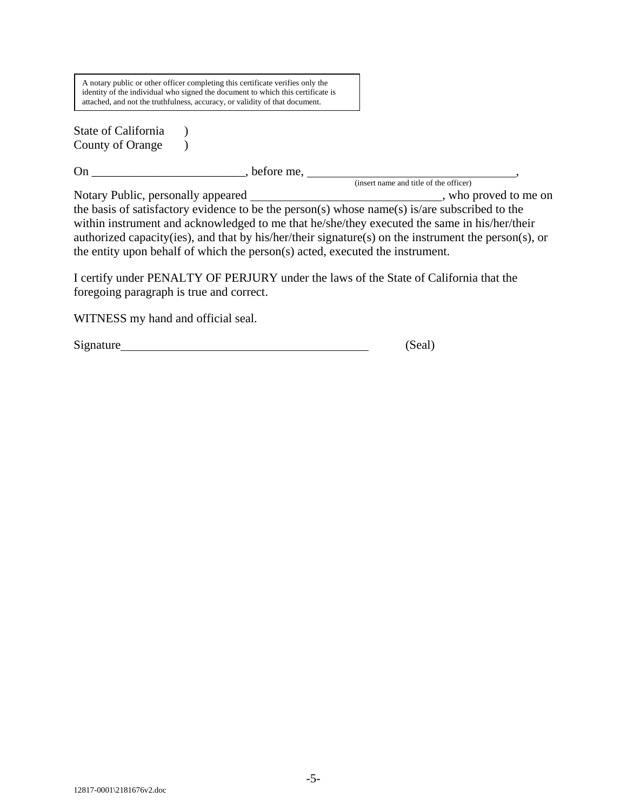A notary public or other officer completing this certificate verifies only the identity of the individual who signed the document to which this certificate is attached, and not the truthfulness, accuracy, or validity of that document.

State of California  $\qquad$  ) County of Orange  $\qquad$  )

On \_\_\_\_\_\_\_\_\_\_\_\_\_\_\_\_\_\_\_\_\_\_\_\_\_, before me, ,

(insert name and title of the officer) Notary Public, personally appeared \_\_\_\_\_\_\_\_\_\_\_\_\_\_\_\_\_\_\_\_\_\_\_\_\_\_\_\_\_\_\_\_, who proved to me on the basis of satisfactory evidence to be the person(s) whose name(s) is/are subscribed to the within instrument and acknowledged to me that he/she/they executed the same in his/her/their authorized capacity(ies), and that by his/her/their signature(s) on the instrument the person(s), or the entity upon behalf of which the person(s) acted, executed the instrument.

I certify under PENALTY OF PERJURY under the laws of the State of California that the foregoing paragraph is true and correct.

WITNESS my hand and official seal.

Signature (Seal)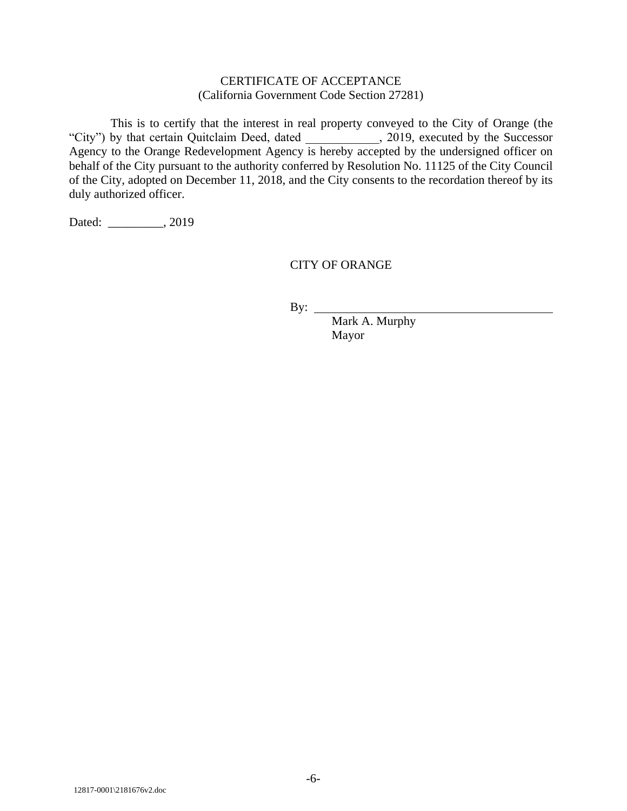#### CERTIFICATE OF ACCEPTANCE (California Government Code Section 27281)

This is to certify that the interest in real property conveyed to the City of Orange (the "City") by that certain Quitclaim Deed, dated \_\_\_\_\_\_\_\_\_\_\_\_, 2019, executed by the Successor Agency to the Orange Redevelopment Agency is hereby accepted by the undersigned officer on behalf of the City pursuant to the authority conferred by Resolution No. 11125 of the City Council of the City, adopted on December 11, 2018, and the City consents to the recordation thereof by its duly authorized officer.

Dated: \_\_\_\_\_\_\_\_\_, 2019

### CITY OF ORANGE

By:

Mark A. Murphy Mayor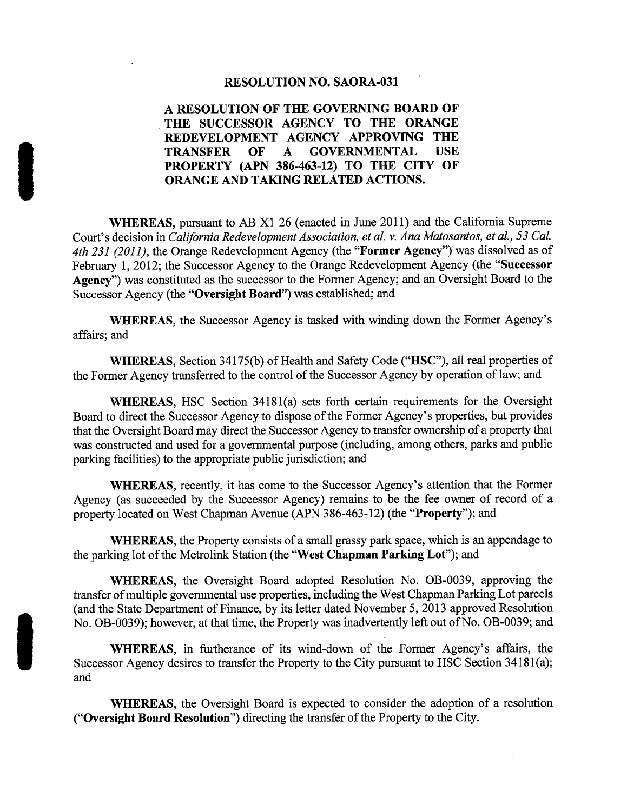#### **RESOLUTION NO. SAORA-031**

#### A RESOLUTION OF THE GOVERNING BOARD OF THE SUCCESSOR AGENCY TO THE ORANGE REDEVELOPMENT AGENCY APPROVING THE **TRANSFER** OF **GOVERNMENTAL USE**  $\mathbf{A}$ PROPERTY (APN 386-463-12) TO THE CITY OF ORANGE AND TAKING RELATED ACTIONS.

**WHEREAS**, pursuant to AB X1 26 (enacted in June 2011) and the California Supreme Court's decision in California Redevelopment Association, et al. v. Ana Matosantos, et al., 53 Cal. 4th 231 (2011), the Orange Redevelopment Agency (the "Former Agency") was dissolved as of February 1, 2012; the Successor Agency to the Orange Redevelopment Agency (the "Successor" Agency") was constituted as the successor to the Former Agency; and an Oversight Board to the Successor Agency (the "Oversight Board") was established; and

**WHEREAS**, the Successor Agency is tasked with winding down the Former Agency's affairs; and

WHEREAS, Section 34175(b) of Health and Safety Code ("HSC"), all real properties of the Former Agency transferred to the control of the Successor Agency by operation of law; and

WHEREAS, HSC Section 34181(a) sets forth certain requirements for the Oversight Board to direct the Successor Agency to dispose of the Former Agency's properties, but provides that the Oversight Board may direct the Successor Agency to transfer ownership of a property that was constructed and used for a governmental purpose (including, among others, parks and public parking facilities) to the appropriate public jurisdiction; and

**WHEREAS**, recently, it has come to the Successor Agency's attention that the Former Agency (as succeeded by the Successor Agency) remains to be the fee owner of record of a property located on West Chapman Avenue (APN 386-463-12) (the "**Property**"); and

**WHEREAS**, the Property consists of a small grassy park space, which is an appendage to the parking lot of the Metrolink Station (the "West Chapman Parking Lot"); and

WHEREAS, the Oversight Board adopted Resolution No. OB-0039, approving the transfer of multiple governmental use properties, including the West Chapman Parking Lot parcels (and the State Department of Finance, by its letter dated November 5, 2013 approved Resolution No. OB-0039); however, at that time, the Property was inadvertently left out of No. OB-0039; and

WHEREAS, in furtherance of its wind-down of the Former Agency's affairs, the Successor Agency desires to transfer the Property to the City pursuant to HSC Section 34181(a); and

**WHEREAS**, the Oversight Board is expected to consider the adoption of a resolution ("Oversight Board Resolution") directing the transfer of the Property to the City.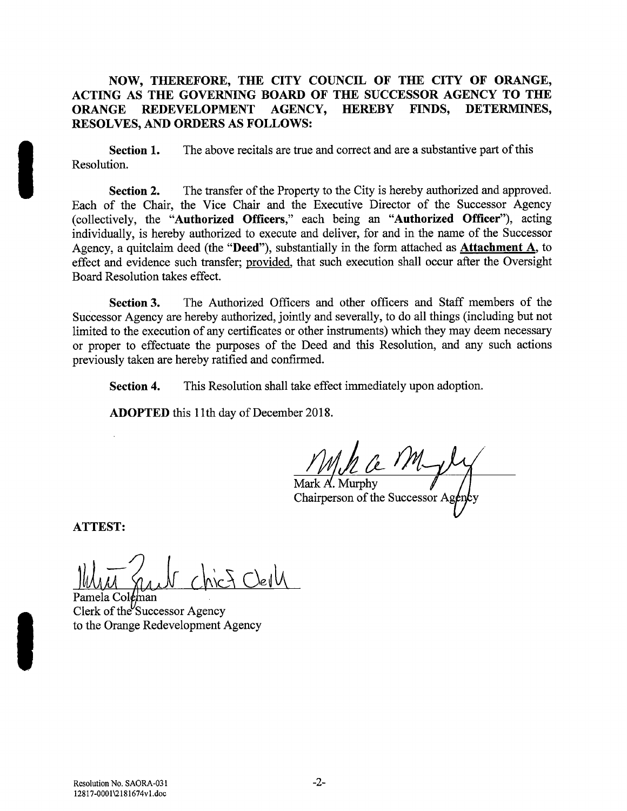#### NOW, THEREFORE, THE CITY COUNCIL OF THE CITY OF ORANGE, ACTING AS THE GOVERNING BOARD OF THE SUCCESSOR AGENCY TO THE **AGENCY, HEREBY** DETERMINES. **REDEVELOPMENT FINDS. ORANGE** RESOLVES, AND ORDERS AS FOLLOWS:

Section 1. The above recitals are true and correct and are a substantive part of this Resolution.

The transfer of the Property to the City is hereby authorized and approved. **Section 2.** Each of the Chair, the Vice Chair and the Executive Director of the Successor Agency (collectively, the "Authorized Officers," each being an "Authorized Officer"), acting individually, is hereby authorized to execute and deliver, for and in the name of the Successor Agency, a quitclaim deed (the "Deed"), substantially in the form attached as **Attachment A**, to effect and evidence such transfer; provided, that such execution shall occur after the Oversight Board Resolution takes effect.

The Authorized Officers and other officers and Staff members of the Section 3. Successor Agency are hereby authorized, jointly and severally, to do all things (including but not limited to the execution of any certificates or other instruments) which they may deem necessary or proper to effectuate the purposes of the Deed and this Resolution, and any such actions previously taken are hereby ratified and confirmed.

This Resolution shall take effect immediately upon adoption. Section 4.

**ADOPTED** this 11th day of December 2018.

Mark A. Murphy Chairperson of the Successor Ag

**ATTEST:** 

Pamela Coleman Clerk of the Successor Agency to the Orange Redevelopment Agency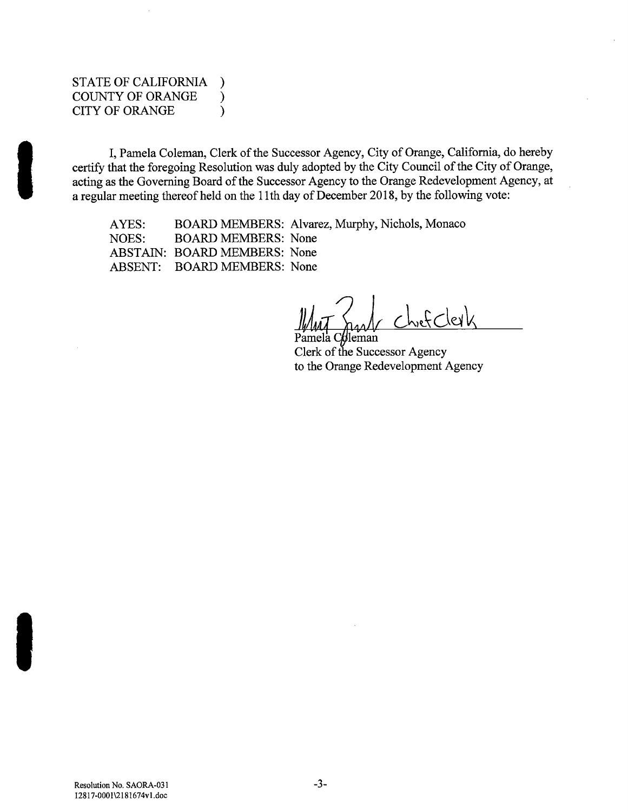#### STATE OF CALIFORNIA  $\lambda$ **COUNTY OF ORANGE**  $\mathcal{E}$ **CITY OF ORANGE**  $\mathcal{E}$

I, Pamela Coleman, Clerk of the Successor Agency, City of Orange, California, do hereby certify that the foregoing Resolution was duly adopted by the City Council of the City of Orange, acting as the Governing Board of the Successor Agency to the Orange Redevelopment Agency, at a regular meeting thereof held on the 11th day of December 2018, by the following vote:

AYES: BOARD MEMBERS: Alvarez, Murphy, Nichols, Monaco **BOARD MEMBERS: None** NOES: ABSTAIN: BOARD MEMBERS: None ABSENT: BOARD MEMBERS: None

tleman Clerk of the Successor Agency to the Orange Redevelopment Agency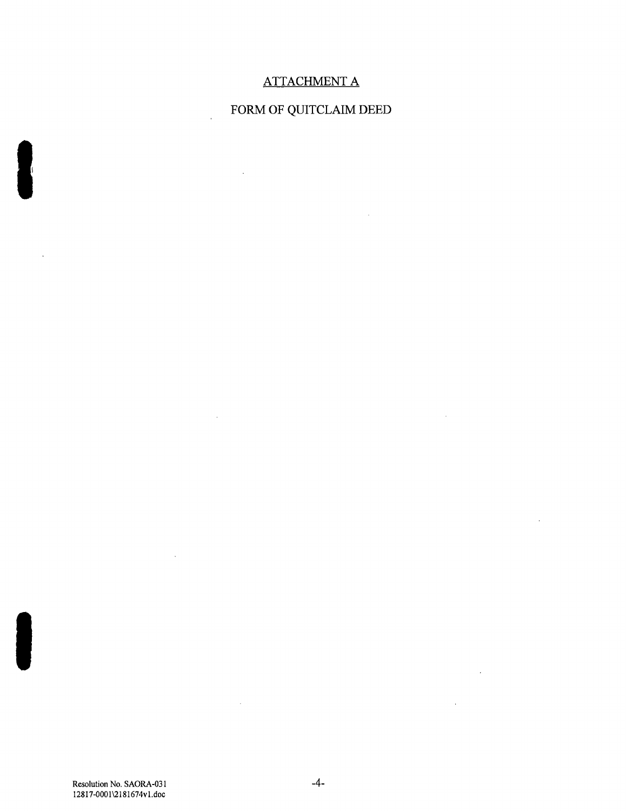## **ATTACHMENT A**

# FORM OF QUITCLAIM DEED

 $\sim 10^7$ 

 $\sim 10^{-10}$ 

 $\sim$ 

 $\sim 10^{11}$  km  $^{-1}$ 

 $\mathcal{L}^{\text{max}}_{\text{max}}$ 

 $\overline{a}$ 

 $\sim 10^7$ 

 $\mathcal{L}^{\text{max}}_{\text{max}}$ 

 $\mathcal{L}^{\text{max}}_{\text{max}}$  and  $\mathcal{L}^{\text{max}}_{\text{max}}$ 

 $\mathcal{L}^{\text{max}}_{\text{max}}$ 

Resolution No. SAORA-031 12817-0001\2181674v1.doc

 $\sim$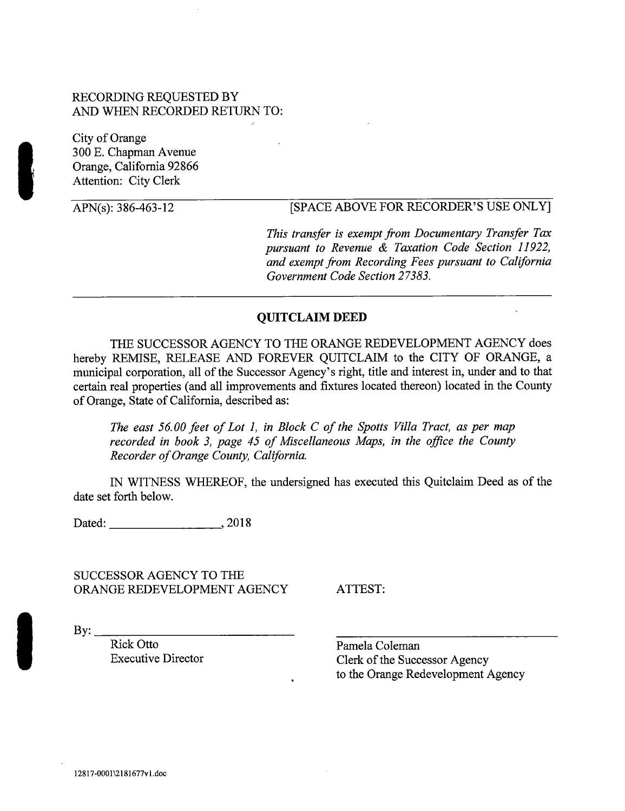### RECORDING REQUESTED BY AND WHEN RECORDED RETURN TO:

City of Orange 300 E. Chapman Avenue Orange. California 92866 **Attention: City Clerk** 

APN(s): 386-463-12

## **ISPACE ABOVE FOR RECORDER'S USE ONLY!**

This transfer is exempt from Documentary Transfer Tax pursuant to Revenue & Taxation Code Section 11922, and exempt from Recording Fees pursuant to California Government Code Section 27383.

#### **QUITCLAIM DEED**

THE SUCCESSOR AGENCY TO THE ORANGE REDEVELOPMENT AGENCY does hereby REMISE, RELEASE AND FOREVER OUITCLAIM to the CITY OF ORANGE, a municipal corporation, all of the Successor Agency's right, title and interest in, under and to that certain real properties (and all improvements and fixtures located thereon) located in the County of Orange, State of California, described as:

The east 56.00 feet of Lot 1, in Block C of the Spotts Villa Tract, as per map recorded in book 3, page 45 of Miscellaneous Maps, in the office the County Recorder of Orange County, California.

IN WITNESS WHEREOF, the undersigned has executed this Quitclaim Deed as of the date set forth below.

Dated:  $\frac{1}{2}$  2018

SUCCESSOR AGENCY TO THE ORANGE REDEVELOPMENT AGENCY

ATTEST:

 $\rm\,By:$ 

Rick Otto **Executive Director**  Pamela Coleman Clerk of the Successor Agency to the Orange Redevelopment Agency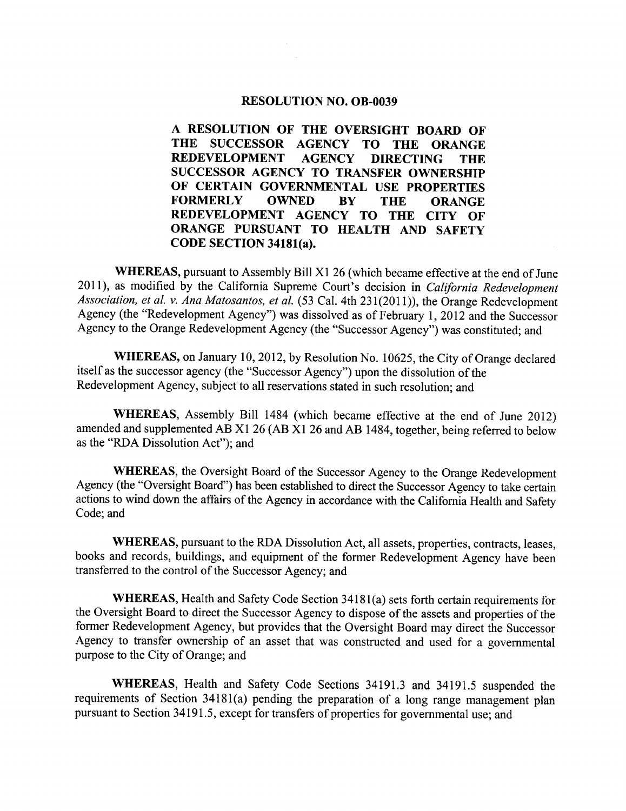#### RESOLUTION NO. OB-0039

A RESOLUTION OF THE OVERSIGHT BOARD OF THE SUCCESSOR AGENCY TO THE ORANGE REDEVELOPMENT AGENCY DIRECTING THE SUCCESSOR AGENCY TO TRANSFER OWNERSHIP OF CERTAIN GOVERNMENTAL USE PROPERTIES<br>FORMERLY OWNED BY THE ORANGE FORMERLY OWNED BY THE ORANGE REDEVELOPMENT AGENCY TO THE CITY OF ORANGE PURSUANT TO HEALTH AND SAFETY CODE SECTION 34181(a).

**WHEREAS**, pursuant to Assembly Bill X1 26 (which became effective at the end of June 2011), as modified by the California Supreme Court's decision in *California Redevelopment* **EXECTION 34181(a).**<br> **EXECTION 34181(a).**<br> **EXECTION 34181(a).**<br> **EXECTION 34181(2011)** as modified by the California Supreme Court's decision in *California Redevelopment*<br> *Association, et al. v. Ana Matosantos, et al.* Agency (the "Redevelopment Agency") was dissolved as of February 1, 2012 and the Successor Agency to the Orange Redevelopment Agency (the "Successor Agency") was constituted; and

WHEREAS, on January 10, 2012, by Resolution No. 10625, the City of Orange declared itself as the successor agency (the "Successor Agency") upon the dissolution of the Redevelopment Agency, subject to all reservations stated in such resolution; and

WHEREAS, Assembly Bill 1484 (which became effective at the end of June 2012) amended and supplemented AB X1 26 (AB X1 26 and AB 1484, together, being referred to below as the "RDA Dissolution Act"); and

WHEREAS, the Oversight Board of the Successor Agency to the Orange Redevelopment Agency (the "Oversight Board") has been established to direct the Successor Agency to take certain actions to wind down the affairs of the Agency in accordance with the California Health and Safety Code; and

WHEREAS, pursuant to the RDA Dissolution Act, all assets, properties, contracts, leases, books and records, buildings, and equipment of the former Redevelopment Agency have been transferred to the control of the Successor Agency; and WHEREAS, pursuant to the KDA Dissolution Act, an assets, properties, contracts, leases,<br>and records, buildings, and equipment of the former Redevelopment Agency have been<br>red to the control of the Successor Agency; and<br>WHE

the Oversight Board to direct the Successor Agency to dispose of the assets and properties of the former Redevelopment Agency, but provides that the Oversight Board may direct the Successor Agency to transfer ownership of an asset that was constructed and used for <sup>a</sup> governmental purpose to the City of Orange; and

WHEREAS, Health and Safety Code Sections 34191.3 and 34191.5 suspended the requirements of Section  $34181(a)$  pending the preparation of a long range management plan pursuant to Section 34191.5, except for transfers of properties for governmental use; and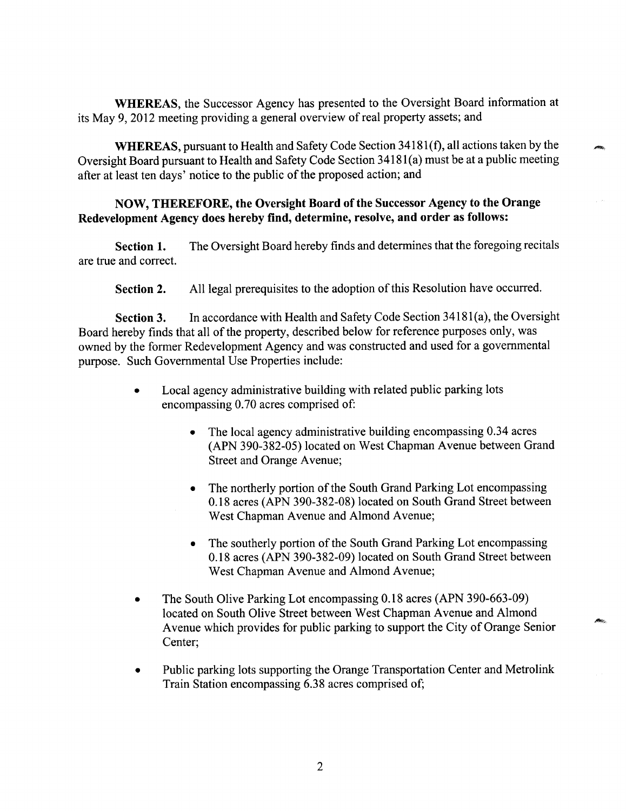WHEREAS, the Successor Agency has presented to the Oversight Board information at its May 9, 2012 meeting providing a general overview of real property assets; and

WHEREAS, the Successor Agency has presented to the Oversight Board information at 9, 2012 meeting providing a general overview of real property assets; and<br>WHEREAS, pursuant to Health and Safety Code Section 34181(f), all **WHEREAS**, pursuant to Health and Safety Code Section  $34181(f)$ , all actions taken by the Oversight Board pursuant to Health and Safety Code Section  $34181(a)$  must be at a public meeting after at least ten days' notice to the public of the proposed action; and

## NOW, THEREFORE, the Oversight Board of the Successor Agency to the Orange Redevelopment Agency does hereby find, determine, resolve, and order as follows:

Section 1. The Oversight Board hereby finds and determines that the foregoing recitals are true and correct

Section 2. All legal prerequisites to the adoption of this Resolution have occurred.

Section 2. All legal prerequisites to the adoption of this Resolution have occurred.<br>Section 3. In accordance with Health and Safety Code Section 34181(a), the Oversight<br>Board hereby finds that all of the property, describ owned by the former Redevelopment Agency and was constructed and used for a governmental purpose. Such Governmental Use Properties include:

- Local agency administrative building with related public parking lots<br>encompassing 0.70 acres comprised of:  $\bullet$ encompassing 0.70 acres comprised of:<br>• The local agency administrative building encompassing 0.34 acres
	- $\bullet$ APN <sup>390</sup> <sup>382</sup> 05 located on West Chapman Avenue between Grand Street and Orange Avenue
	- The northerly portion of the South Grand Parking Lot encompassing  $\bullet$ 0.18 acres (APN 390-382-08) located on South Grand Street between West Chapman Avenue and Almond Avenue
	- The southerly portion of the South Grand Parking Lot encompassing 0.18 acres (APN 390-382-09) located on South Grand Street between West Chapman Avenue and Almond Avenue
- The South Olive Parking Lot encompassing 0.18 acres (APN 390-663-09) located on South Olive Street between West Chapman Avenue and Almond Avenue which provides for public parking to support the City of Orange Senior Center;
- Public parking lots supporting the Orange Transportation Center and Metrolink  $\bullet$ Train Station encompassing 6.38 acres comprised of;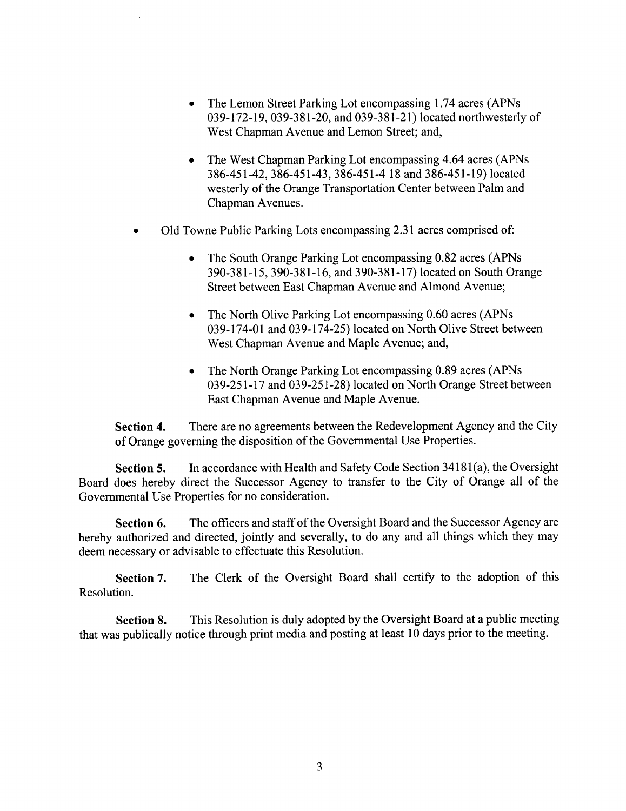- The Lemon Street Parking Lot encompassing 1.74 acres (APNs)  $\bullet$ 039-172-19, 039-381-20, and 039-381-21) located northwesterly of West Chapman Avenue and Lemon Street; and,
- The West Chapman Parking Lot encompassing 4.64 acres (APNs) <sup>386</sup> <sup>451</sup> 42 <sup>386</sup> <sup>451</sup> 43 <sup>386451</sup> 4 <sup>18</sup> and <sup>386</sup> <sup>451</sup> 19 located westerly of the Orange Transportation Center between Palm and Chapman Avenues.
- Old Towne Public Parking Lots encompassing 2.31 acres comprised of:
	- The South Orange Parking Lot encompassing 0.82 acres (APNs)  $\bullet$ <sup>390</sup> <sup>381</sup> 15 <sup>390</sup> <sup>381</sup> 16 and <sup>390</sup> <sup>381</sup> 17 located on South Orange Street between East Chapman Avenue and Almond Avenue:
	- The North Olive Parking Lot encompassing 0.60 acres (APNs)  $\bullet$ 039-174-01 and 039-174-25) located on North Olive Street between West Chapman Avenue and Maple Avenue; and,
	- The North Orange Parking Lot encompassing 0.89 acres (APNs) 039-251-17 and 039-251-28) located on North Orange Street between East Chapman Avenue and Maple Avenue

Section 4. There are no agreements between the Redevelopment Agency and the City of Orange governing the disposition of the Governmental Use Properties

Section 4. There are no agreements between the Redevelopment Agency and the City of Orange governing the disposition of the Governmental Use Properties.<br>Section 5. In accordance with Health and Safety Code Section 34181(a) Governmental Use Properties for no consideration

Section 6. The officers and staff of the Oversight Board and the Successor Agency are hereby authorized and directed, jointly and severally, to do any and all things which they may deem necessary or advisable to effectuate this Resolution

Section 7. The Clerk of the Oversight Board shall certify to the adoption of this Resolution

Section 8. This Resolution is duly adopted by the Oversight Board at a public meeting that was publically notice through print media and posting at least  $10$  days prior to the meeting.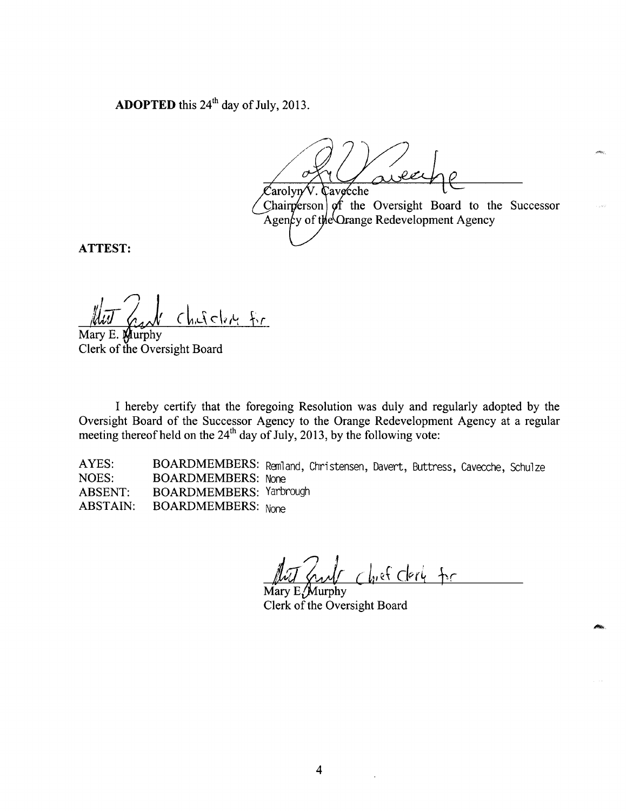**ADOPTED** this  $24<sup>th</sup>$  day of July, 2013.

 $\mathcal{L}% _{k}=\mathcal{L}_{k}$ arolyn Cavecche Chairperson  $\int$  of the Oversight Board to the Successor of the Orange Redevelopment Agency

ATTEST

 $\bigcap$ I <u>Childre fr</u>

Mary E. Murphy Clerk of the Oversight Board

I hereby certify that the foregoing Resolution was duly and regularly adopted by the Oversight Board of the Successor Agency to the Orange Redevelopment Agency at a regular meeting thereof held on the  $24<sup>th</sup>$  day of July, 2013, by the following vote:

AYES: BOARDMEMBERS: Remland, Christensen, Davert, Buttress, Cavecche, Schulze<br>NOES: BOARDMEMBERS: None BOARDMEMBERS: None ABSENT: BOARDMEMBERS: Yarbrough ABSTAIN: BOARDMEMBERS: None

Chief Clerk for

Mary  $E/M$ urphy Clerk of the Oversight Board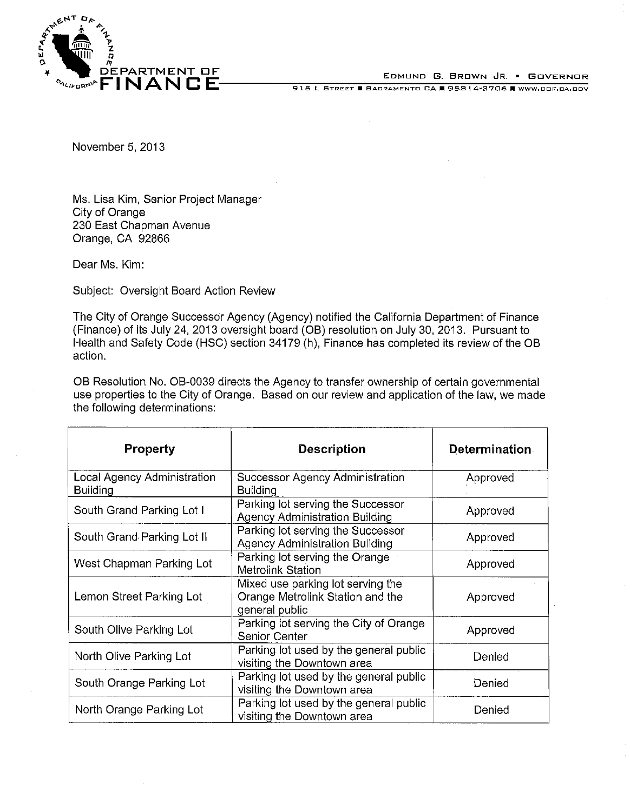

EDMUND G, BROWN JR. . GOVERNOR

915 L STREET B BACRAMENTO CA E 95814-3706 E WWW.DOF.CA.GOV

November 5, 2013

Ms. Lisa Kim, Senior Project Manager City of Orange 230 East Chapman Avenue Orange, CA 92866

Dear Ms. Kim:

Subject: Oversight Board Action Review

The City of Orange Successor Agency (Agency) notified the California Department of Finance (Finance) of its July 24, 2013 oversight board (OB) resolution on July 30, 2013. Pursuant to Health and Safety Code (HSC) section 34179 (h), Finance has completed its review of the OB action.

OB Resolution No. OB-0039 directs the Agency to transfer ownership of certain governmental use properties to the City of Orange. Based on our review and application of the law, we made the following determinations:

| <b>Property</b>                                | <b>Description</b>                                                                      | <b>Determination</b> |
|------------------------------------------------|-----------------------------------------------------------------------------------------|----------------------|
| Local Agency Administration<br><b>Building</b> | Successor Agency Administration<br><b>Building</b>                                      | Approved             |
| South Grand Parking Lot I                      | Parking lot serving the Successor<br><b>Agency Administration Building</b>              | Approved             |
| South Grand Parking Lot II                     | Parking lot serving the Successor<br><b>Agency Administration Building</b>              | Approved             |
| West Chapman Parking Lot                       | Parking lot serving the Orange<br>Metrolink Station                                     | Approved             |
| Lemon Street Parking Lot                       | Mixed use parking lot serving the<br>Orange Metrolink Station and the<br>general public | Approved             |
| South Olive Parking Lot                        | Parking lot serving the City of Orange<br>Senior Center                                 | Approved             |
| North Olive Parking Lot                        | Parking lot used by the general public<br>visiting the Downtown area                    | Denied               |
| South Orange Parking Lot                       | Parking lot used by the general public<br>visiting the Downtown area                    | Denied               |
| North Orange Parking Lot                       | Parking lot used by the general public<br>visiting the Downtown area                    | Denied               |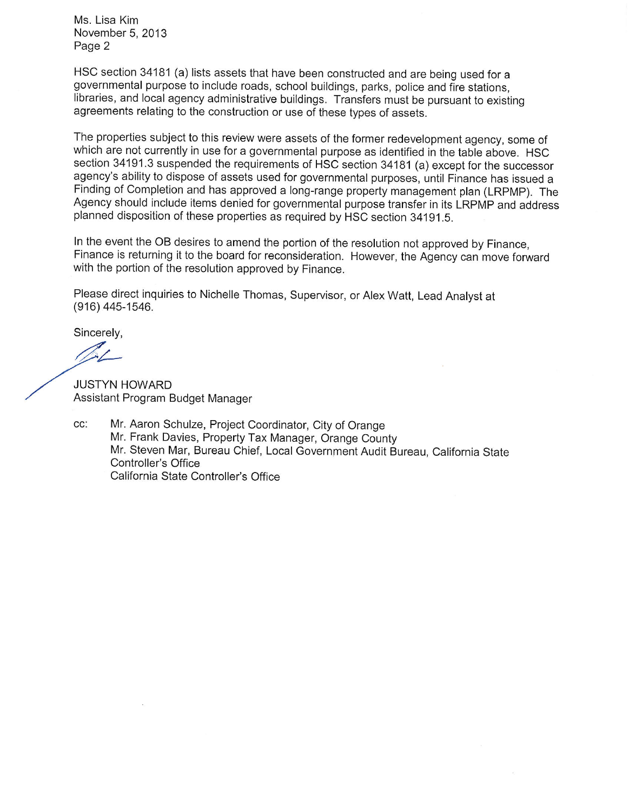Ms. Lisa Kim November 5, 2013 Page 2

HSC section 34181 (a) lists assets that have been constructed and are being used for a governmental purpose to include roads, school buildings, parks, police and fire stations, libraries, and local agency administrative buildings. Transfers must be pursuant to existing agreements relating to the construction or use of these types of assets.

The properties subiect to this review were assets of the former redevelopment agency, some of which are not currently in use for a governmental purpose as identified in the table above. HSC section 34191.3 suspended the requirements of HSC section 34181 (a) except for the successor agency's ability to dispose of assets used for governmental purposes, until Finance has issued a Finding of Completion and has approved a long-range property management plan (LRPMP). The Agency should include items denied for governmental purpose transfer in its LRPMP and address planned disposition of these properties as required by HSC section 34191.5.

In the event the OB desires to amend the portion of the resolution not approved by Finance. Finance is returning it to the board for reconsideration. However, the Agency can move forward with the portion of the resolution approved by Finance.

Please direct inquiries to Nichelle Thomas, Supervisor, or Alex Watt, Lead Analyst at (916) 445-1546.

Sincerely,

**JUSTYN HOWARD** Assistant Program Budget Manager

CC: Mr. Aaron Schulze, Project Coordinator, City of Orange Mr. Frank Davies, Property Tax Manager, Orange County Mr. Steven Mar, Bureau Chief, Local Government Audit Bureau, California State Controller's Office California State Controller's Office